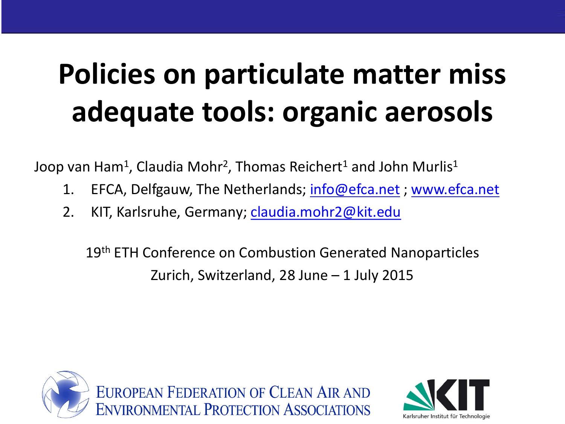## **Policies on particulate matter miss adequate tools: organic aerosols**

Joop van Ham<sup>1</sup>, Claudia Mohr<sup>2</sup>, Thomas Reichert<sup>1</sup> and John Murlis<sup>1</sup>

- 1. EFCA, Delfgauw, The Netherlands; **info@efca.net** ; [www.efca.net](http://www.efca.net/)
- 2. KIT, Karlsruhe, Germany; [claudia.mohr2@kit.edu](mailto:claudia.mohr2@kit.edu)

19<sup>th</sup> ETH Conference on Combustion Generated Nanoparticles Zurich, Switzerland, 28 June – 1 July 2015



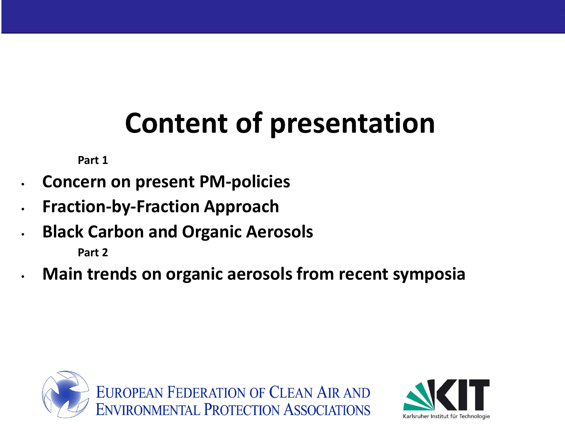## **Content of presentation**

**Part 1**

- **Concern on present PM-policies**
- **Fraction-by-Fraction Approach**
- **Black Carbon and Organic Aerosols**

**Part 2**

• **Main trends on organic aerosols from recent symposia**



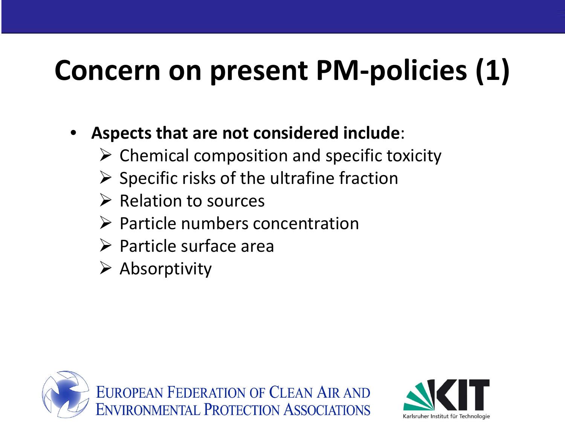## **Concern on present PM-policies (1)**

- **Aspects that are not considered include**:
	- $\triangleright$  Chemical composition and specific toxicity
	- $\triangleright$  Specific risks of the ultrafine fraction
	- $\triangleright$  Relation to sources
	- $\triangleright$  Particle numbers concentration
	- $\triangleright$  Particle surface area
	- $\triangleright$  Absorptivity



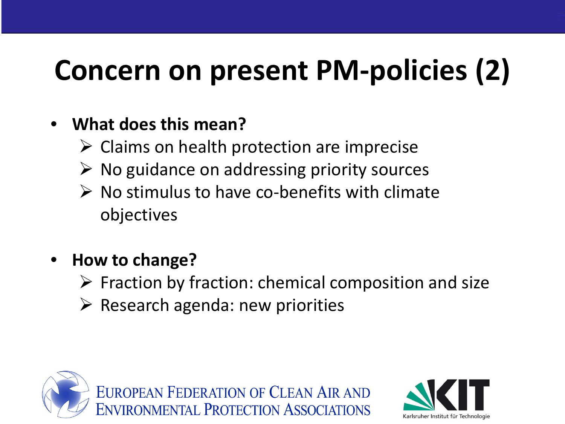## **Concern on present PM-policies (2)**

#### • **What does this mean?**

- $\triangleright$  Claims on health protection are imprecise
- $\triangleright$  No guidance on addressing priority sources
- $\triangleright$  No stimulus to have co-benefits with climate objectives
- **How to change?**
	- $\triangleright$  Fraction by fraction: chemical composition and size
	- $\triangleright$  Research agenda: new priorities



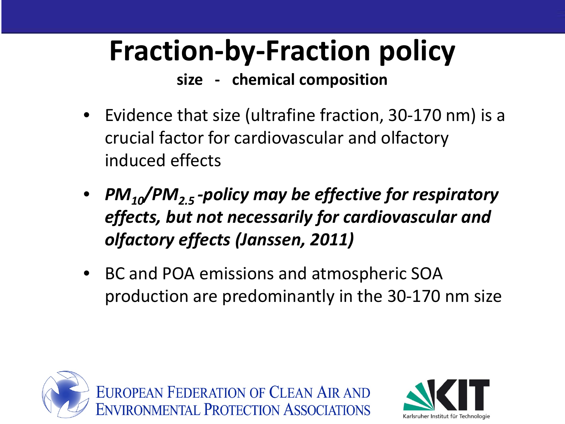## **Fraction-by-Fraction policy**

**size - chemical composition**

- Evidence that size (ultrafine fraction, 30-170 nm) is a crucial factor for cardiovascular and olfactory induced effects
- *PM10/PM2.5 -policy may be effective for respiratory effects, but not necessarily for cardiovascular and olfactory effects (Janssen, 2011)*
- BC and POA emissions and atmospheric SOA production are predominantly in the 30-170 nm size



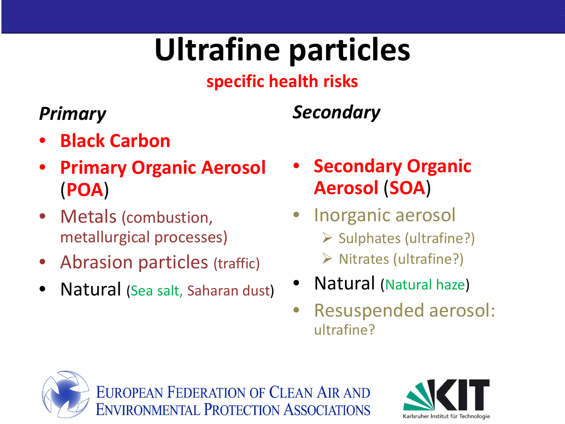# **Ultrafine particles**

#### **specific health risks**

#### *Primary*

#### *Secondary*

- **Black Carbon**
- **Primary Organic Aerosol**  (**POA**)
- Metals (combustion, metallurgical processes)
- Abrasion particles (traffic)
- Natural (Sea salt, Saharan dust)
- **Secondary Organic Aerosol** (**SOA**)
- Inorganic aerosol  $\triangleright$  Sulphates (ultrafine?)  $\triangleright$  Nitrates (ultrafine?)
- Natural (Natural haze)
- Resuspended aerosol: ultrafine?



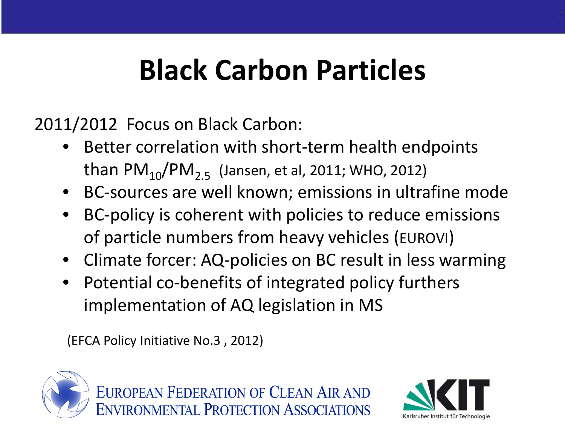### **Black Carbon Particles**

2011/2012 Focus on Black Carbon:

- Better correlation with short-term health endpoints than  $PM_{10}/PM_{2.5}$  (Jansen, et al, 2011; WHO, 2012)
- BC-sources are well known; emissions in ultrafine mode
- BC-policy is coherent with policies to reduce emissions of particle numbers from heavy vehicles (EUROVI)
- Climate forcer: AQ-policies on BC result in less warming
- Potential co-benefits of integrated policy furthers implementation of AQ legislation in MS

**NVIRONMENTAL PROTECTION ASSOCIATIONS** 

(EFCA Policy Initiative No.3 , 2012)



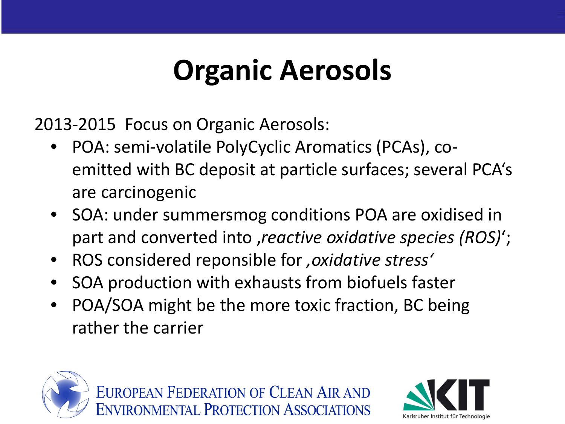### **Organic Aerosols**

2013-2015 Focus on Organic Aerosols:

- POA: semi-volatile PolyCyclic Aromatics (PCAs), coemitted with BC deposit at particle surfaces; several PCA's are carcinogenic
- SOA: under summersmog conditions POA are oxidised in part and converted into , reactive oxidative species (ROS)';
- ROS considered reponsible for *'oxidative stress'*
- SOA production with exhausts from biofuels faster
- POA/SOA might be the more toxic fraction, BC being rather the carrier





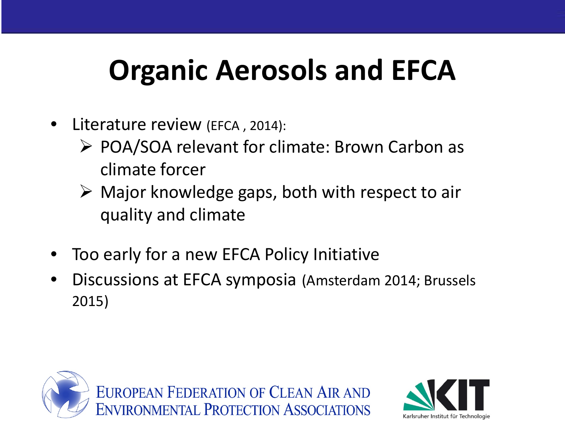### **Organic Aerosols and EFCA**

- Literature review (EFCA, 2014):
	- ▶ POA/SOA relevant for climate: Brown Carbon as climate forcer
	- $\triangleright$  Major knowledge gaps, both with respect to air quality and climate
- Too early for a new EFCA Policy Initiative
- Discussions at EFCA symposia (Amsterdam 2014; Brussels 2015)



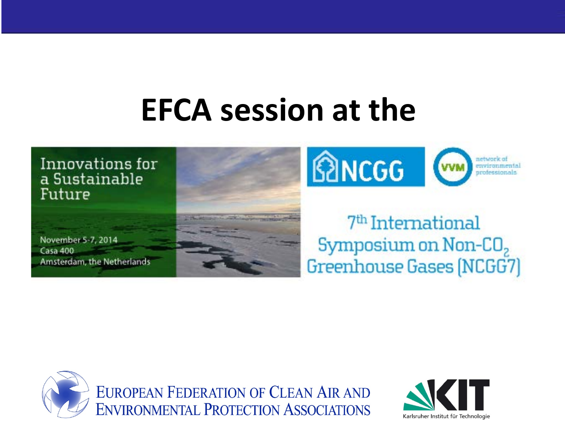### **EFCA session at the**





#### 7<sup>th</sup> International Symposium on Non- $CO<sub>2</sub>$ Greenhouse Gases (NCGG7)



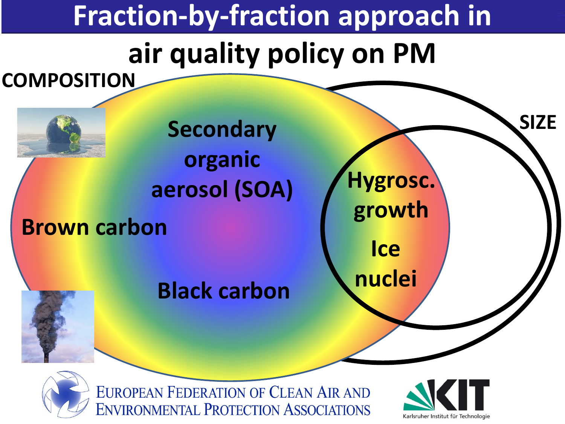#### **Fraction-by-fraction approach in**

### **air quality policy on PM**





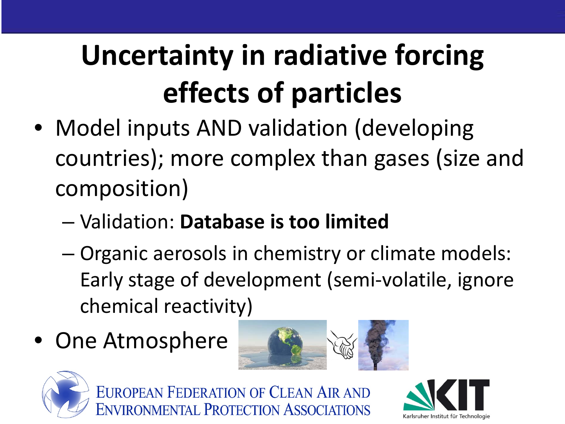# **Uncertainty in radiative forcing effects of particles**

- Model inputs AND validation (developing countries); more complex than gases (size and composition)
	- Validation: **Database is too limited**
	- Organic aerosols in chemistry or climate models: Early stage of development (semi-volatile, ignore chemical reactivity)
- One Atmosphere





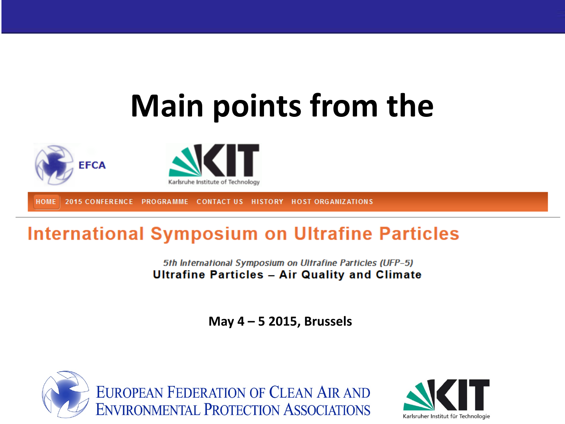# **Main points from the**





PROGRAMME CONTACT US HISTORY HOST ORGANIZATIONS **HOME 2015 CONFERENCE** 

#### **International Symposium on Ultrafine Particles**

5th International Symposium on Ultrafine Particles (UFP-5) **Ultrafine Particles - Air Quality and Climate** 

**May 4 – 5 2015, Brussels**



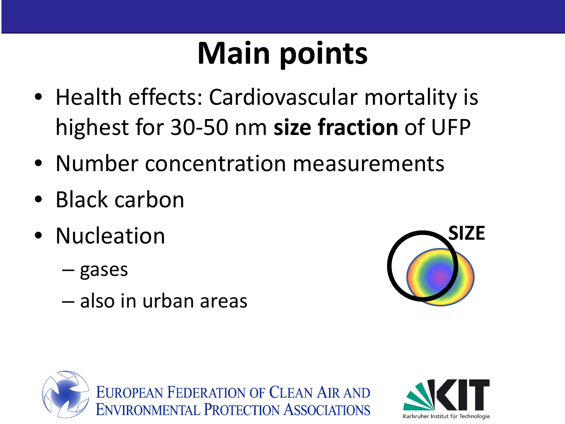# **Main points**

- Health effects: Cardiovascular mortality is highest for 30-50 nm **size fraction** of UFP
- Number concentration measurements
- Black carbon
- Nucleation
	- gases
	- also in urban areas